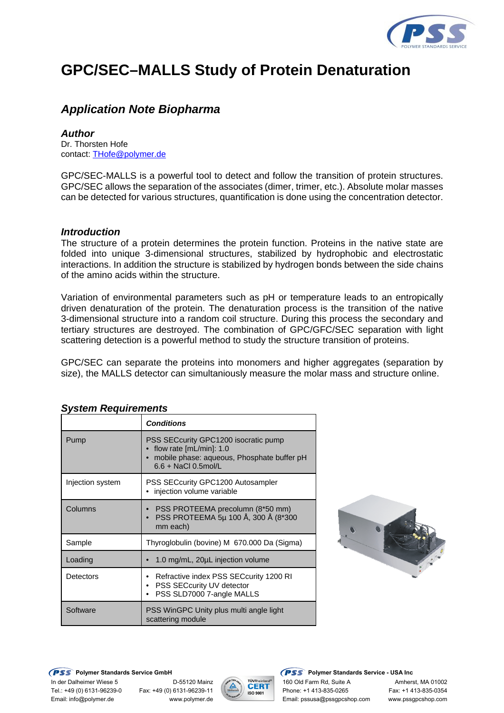

# **GPC/SEC–MALLS Study of Protein Denaturation**

# *Application Note Biopharma*

## *Author*

Dr. Thorsten Hofe contact: THofe@polymer.de

GPC/SEC-MALLS is a powerful tool to detect and follow the transition of protein structures. GPC/SEC allows the separation of the associates (dimer, trimer, etc.). Absolute molar masses can be detected for various structures, quantification is done using the concentration detector.

## *Introduction*

The structure of a protein determines the protein function. Proteins in the native state are folded into unique 3-dimensional structures, stabilized by hydrophobic and electrostatic interactions. In addition the structure is stabilized by hydrogen bonds between the side chains of the amino acids within the structure.

Variation of environmental parameters such as pH or temperature leads to an entropically driven denaturation of the protein. The denaturation process is the transition of the native 3-dimensional structure into a random coil structure. During this process the secondary and tertiary structures are destroyed. The combination of GPC/GFC/SEC separation with light scattering detection is a powerful method to study the structure transition of proteins.

GPC/SEC can separate the proteins into monomers and higher aggregates (separation by size), the MALLS detector can simultaniously measure the molar mass and structure online.

|                  | <b>Conditions</b>                                                                                                                         |
|------------------|-------------------------------------------------------------------------------------------------------------------------------------------|
| Pump             | PSS SECcurity GPC1200 isocratic pump<br>flow rate $[mL/min]$ : 1.0<br>mobile phase: aqueous, Phosphate buffer pH<br>$6.6 +$ NaCl 0.5mol/L |
| Injection system | PSS SECcurity GPC1200 Autosampler<br>• injection volume variable                                                                          |
| Columns          | PSS PROTEEMA precolumn (8*50 mm)<br>$\bullet$<br>PSS PROTEEMA 5µ 100 Å, 300 Å (8*300<br>mm each)                                          |
| Sample           | Thyroglobulin (bovine) M 670.000 Da (Sigma)                                                                                               |
| Loading          | 1.0 mg/mL, 20µL injection volume                                                                                                          |
| Detectors        | Refractive index PSS SECcurity 1200 RI<br>PSS SECcurity UV detector<br>$\bullet$<br>PSS SLD7000 7-angle MALLS<br>٠                        |
| Software         | PSS WinGPC Unity plus multi angle light<br>scattering module                                                                              |

#### *System Requirements*



**PSS** Polymer Standards Service GmbH **PSS** Polymer Standards Service - USA Inc



In der Dalheimer Wiese 5 D-55120 Mainz  $\sqrt{\overbrace{C}^{at.\text{W}^{R}}$  160 Old Farm Rd, Suite A Amherst, MA 01002 Tel.: +49 (0) 6131-96239-0 Fax: +49 (0) 6131-96239-11 Phone: +1 413-835-0265 Fax: +1 413-835-0354 Email: info@polymer.de www.polymer.de Email: pssusa@pssgpcshop.com www.pssgpcshop.com